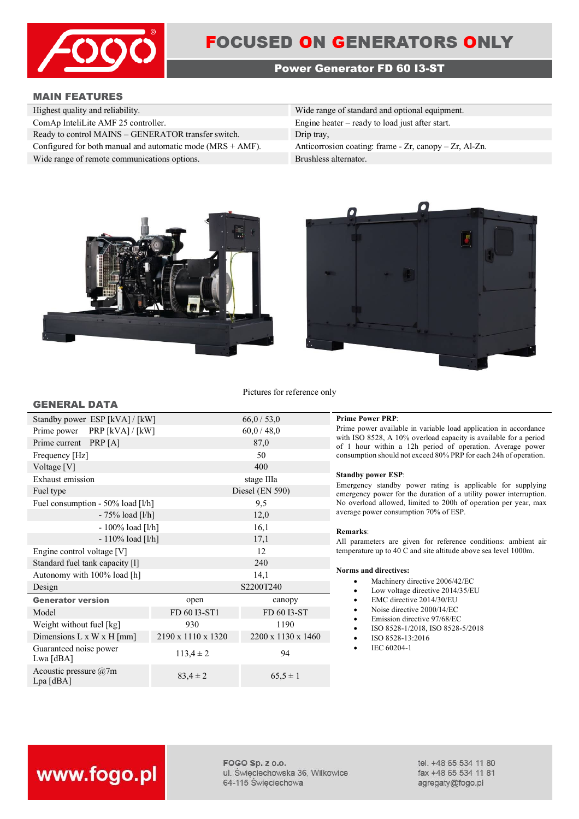

# **FOCUSED ON GENERATORS ONLY**

# **Power Generator FD 60 I3-ST**

# **MAIN FEATURES**

| Highest quality and reliability.                              | Wide range of standard and optional equipment.             |
|---------------------------------------------------------------|------------------------------------------------------------|
| ComAp InteliLite AMF 25 controller.                           | Engine heater $-$ ready to load just after start.          |
| Ready to control MAINS - GENERATOR transfer switch.           | Drip tray,                                                 |
| Configured for both manual and automatic mode $(MRS + AMF)$ . | Anticorrosion coating: frame $-Zr$ , canopy $-Zr$ , Al-Zn. |
| Wide range of remote communications options.                  | Brushless alternator.                                      |





Pictures for reference only

| <b>GENERAL DATA</b> |  |
|---------------------|--|
|---------------------|--|

| Standby power ESP [kVA] / [kW]         |                    | 66,0/53,0          |
|----------------------------------------|--------------------|--------------------|
| Prime power PRP [kVA] / [kW]           |                    | 60,0/48,0          |
| Prime current PRP [A]                  |                    | 87,0               |
| Frequency [Hz]                         |                    | 50                 |
| Voltage [V]                            |                    | 400                |
| Exhaust emission                       |                    | stage IIIa         |
| Fuel type                              |                    | Diesel (EN 590)    |
| Fuel consumption - 50% load [l/h]      |                    | 9,5                |
| $-75%$ load [l/h]                      |                    | 12,0               |
| $-100\%$ load [l/h]                    |                    | 16,1               |
| $-110\%$ load [l/h]                    |                    | 17,1               |
| Engine control voltage [V]             |                    | 12                 |
| Standard fuel tank capacity [1]        |                    | 240                |
| Autonomy with 100% load [h]            |                    | 14,1               |
| Design                                 |                    | S2200T240          |
| <b>Generator version</b>               | open               | canopy             |
| Model                                  | FD 60 I3-ST1       | FD 60 I3-ST        |
| Weight without fuel [kg]               | 930                | 1190               |
| Dimensions L x W x H [mm]              | 2190 x 1110 x 1320 | 2200 x 1130 x 1460 |
| Guaranteed noise power<br>Lwa [dBA]    | $113.4 \pm 2$      | 94                 |
| Acoustic pressure $@7m$<br>$Lpa$ [dBA] | $83,4 \pm 2$       | $65,5 \pm 1$       |

## $Prime Power PRP:$

Prime power available in variable load application in accordance with ISO 8528, A 10% overload capacity is available for a period of 1 hour within a 12h period of operation. Average power consumption should not exceed 80% PRP for each 24h of operation.

## **Standby power ESP**:

Emergency standby power rating is applicable for supplying emergency power for the duration of a utility power interruption. No overload allowed, limited to 200h of operation per year, max average power consumption 70% of ESP.

## **Remarks**:

All parameters are given for reference conditions: ambient air temperature up to 40 C and site altitude above sea level 1000m.

## **Norms and directives:**

- Machinery directive 2006/42/EC
- Low voltage directive 2014/35/EU
- EMC directive 2014/30/EU
- Noise directive 2000/14/EC
- Emission directive 97/68/EC
- ISO 8528-1/2018, ISO 8528-5/2018
- ISO 8528-13:2016
- IEC 60204-1

# www.fogo.pl

FOGO Sp. z o.o. ul. Świeciechowska 36, Wilkowice 64-115 Święciechowa

tel. +48 65 534 11 80 fax +48 65 534 11 81 agregaty@fogo.pl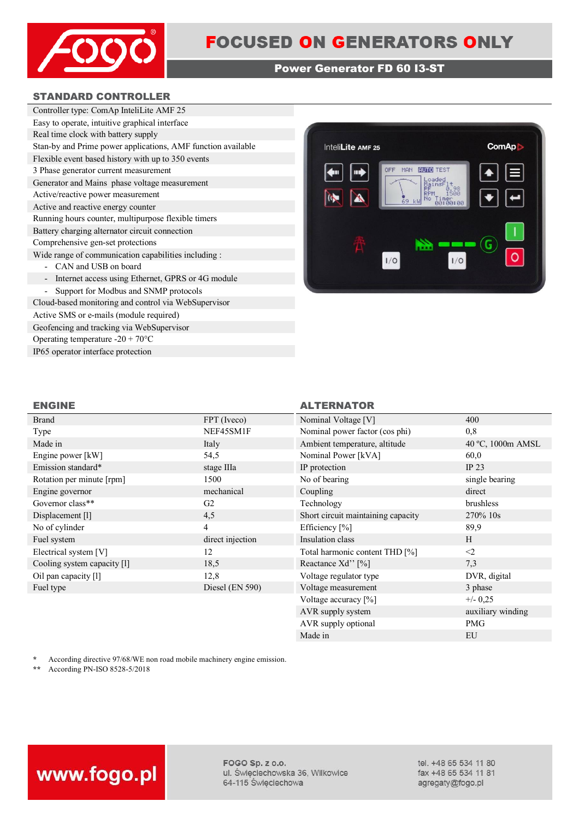

# **Power Generator FD 60 I3-ST**

# **STANDARD CONTROLLER**

| Controller type: ComAp InteliLite AMF 25                                      |
|-------------------------------------------------------------------------------|
| Easy to operate, intuitive graphical interface                                |
| Real time clock with battery supply                                           |
| Stan-by and Prime power applications, AMF function available                  |
| Flexible event based history with up to 350 events                            |
| 3 Phase generator current measurement                                         |
| Generator and Mains phase voltage measurement                                 |
| Active/reactive power measurement                                             |
| Active and reactive energy counter                                            |
| Running hours counter, multipurpose flexible timers                           |
| Battery charging alternator circuit connection                                |
| Comprehensive gen-set protections                                             |
| Wide range of communication capabilities including :                          |
| CAN and USB on board                                                          |
| Internet access using Ethernet, GPRS or 4G module<br>$\overline{\phantom{a}}$ |
| Support for Modbus and SNMP protocols                                         |
| Cloud-based monitoring and control via WebSupervisor                          |

Active SMS or e-mails (module required) Geofencing and tracking via WebSupervisor Operating temperature -20 + 70°C IP65 operator interface protection



# **ENGINE ALTERNATOR**

| <b>Brand</b>                | FPT (Iveco)      | Nominal Voltage [V]                | 400               |
|-----------------------------|------------------|------------------------------------|-------------------|
| Type                        | NEF45SM1F        | Nominal power factor (cos phi)     | 0,8               |
| Made in                     | Italy            | Ambient temperature, altitude      | 40 °C, 1000m AMSL |
| Engine power [kW]           | 54,5             | Nominal Power [kVA]                | 60,0              |
| Emission standard*          | stage IIIa       | IP protection                      | IP $23$           |
| Rotation per minute [rpm]   | 1500             | No of bearing                      | single bearing    |
| Engine governor             | mechanical       | Coupling                           | direct            |
| Governor class**            | G <sub>2</sub>   | Technology                         | brushless         |
| Displacement [1]            | 4,5              | Short circuit maintaining capacity | 270\% 10s         |
| No of cylinder              | 4                | Efficiency [%]                     | 89,9              |
| Fuel system                 | direct injection | Insulation class                   | H                 |
| Electrical system [V]       | 12               | Total harmonic content THD [%]     | $\leq$            |
| Cooling system capacity [1] | 18,5             | Reactance Xd'' [%]                 | 7,3               |
| Oil pan capacity [1]        | 12,8             | Voltage regulator type             | DVR, digital      |
| Fuel type                   | Diesel (EN 590)  | Voltage measurement                | 3 phase           |
|                             |                  | Voltage accuracy [%]               | $+/- 0.25$        |
|                             |                  | AVR supply system                  | auxiliary winding |

\* According directive 97/68/WE non road mobile machinery engine emission.<br>\*\* According PN-ISO 8528-5/2018

**\*\*** According PN-ISO 8528-5/2018



FOGO Sp. z o.o. ul. Święciechowska 36, Wilkowice 64-115 Święciechowa

tel. +48 65 534 11 80 fax +48 65 534 11 81 agregaty@fogo.pl

AVR supply optional PMG Made in EU